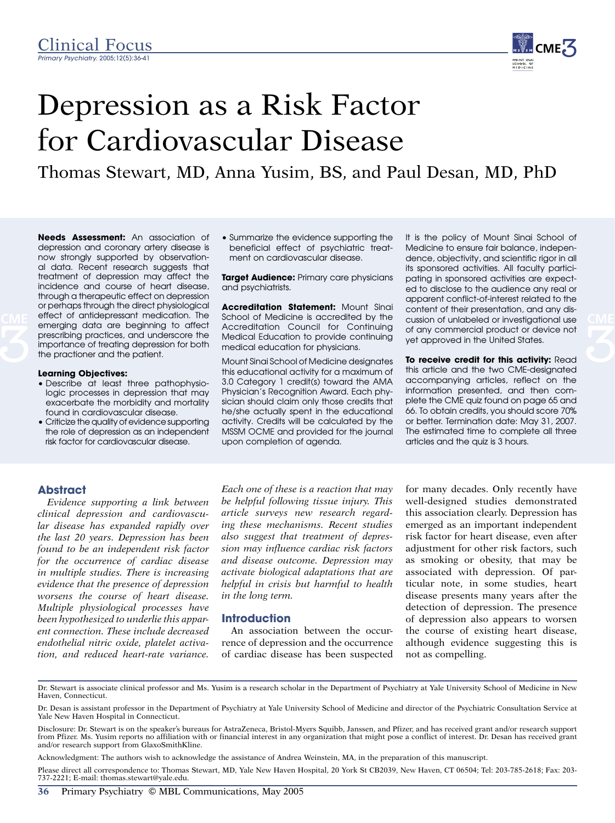

# Depression as a Risk Factor for Cardiovascular Disease

Thomas Stewart, MD, Anna Yusim, BS, and Paul Desan, MD, PhD

**Needs Assessment:** An association of depression and coronary artery disease is now strongly supported by observational data. Recent research suggests that treatment of depression may affect the incidence and course of heart disease, through a therapeutic effect on depression or perhaps through the direct physiological effect of antidepressant medication. The emerging data are beginning to affect prescribing practices, and underscore the importance of treating depression for both the practioner and the patient. **CME** effect of antidepressant medication. The School of Medicine is accredited by the cussion of unlabeled or investigational use CME

#### **Learning Objectives:**

- Describe at least three pathophysiologic processes in depression that may exacerbate the morbidity and mortality found in cardiovascular disease.
- Criticize the quality of evidence supporting the role of depression as an independent risk factor for cardiovascular disease.

• Summarize the evidence supporting the beneficial effect of psychiatric treatment on cardiovascular disease.

**Target Audience:** Primary care physicians and psychiatrists.

**Accreditation Statement:** Mount Sinai School of Medicine is accredited by the Accreditation Council for Continuing Medical Education to provide continuing medical education for physicians.

Mount Sinai School of Medicine designates this educational activity for a maximum of 3.0 Category 1 credit(s) toward the AMA Physician's Recognition Award. Each physician should claim only those credits that he/she actually spent in the educational activity. Credits will be calculated by the MSSM OCME and provided for the journal upon completion of agenda.

It is the policy of Mount Sinai School of Medicine to ensure fair balance, independence, objectivity, and scientific rigor in all its sponsored activities. All faculty participating in sponsored activities are expected to disclose to the audience any real or apparent conflict-of-interest related to the content of their presentation, and any disof any commercial product or device not yet approved in the United States.

**To receive credit for this activity:** Read this article and the two CME-designated accompanying articles, reflect on the information presented, and then complete the CME quiz found on page 65 and 66. To obtain credits, you should score 70% or better. Termination date: May 31, 2007. The estimated time to complete all three articles and the quiz is 3 hours.

#### **Abstract**

*Evidence supporting a link between clinical depression and cardiovascular disease has expanded rapidly over the last 20 years. Depression has been found to be an independent risk factor for the occurrence of cardiac disease in multiple studies. There is increasing evidence that the presence of depression worsens the course of heart disease. Multiple physiological processes have been hypothesized to underlie this apparent connection. These include decreased endothelial nitric oxide, platelet activation, and reduced heart-rate variance.* 

*Each one of these is a reaction that may be helpful following tissue injury. This article surveys new research regarding these mechanisms. Recent studies also suggest that treatment of depression may influence cardiac risk factors and disease outcome. Depression may activate biological adaptations that are helpful in crisis but harmful to health in the long term.* 

#### **Introduction**

An association between the occurrence of depression and the occurrence of cardiac disease has been suspected

for many decades. Only recently have well-designed studies demonstrated this association clearly. Depression has emerged as an important independent risk factor for heart disease, even after adjustment for other risk factors, such as smoking or obesity, that may be associated with depression. Of particular note, in some studies, heart disease presents many years after the detection of depression. The presence of depression also appears to worsen the course of existing heart disease, although evidence suggesting this is not as compelling.

Dr. Stewart is associate clinical professor and Ms. Yusim is a research scholar in the Department of Psychiatry at Yale University School of Medicine in New Haven, Connecticut.

Dr. Desan is assistant professor in the Department of Psychiatry at Yale University School of Medicine and director of the Psychiatric Consultation Service at Yale New Haven Hospital in Connecticut.

Disclosure: Dr. Stewart is on the speaker's bureaus for AstraZeneca, Bristol-Myers Squibb, Janssen, and Pfizer, and has received grant and/or research support from Pfizer. Ms. Yusim reports no affiliation with or financial interest in any organization that might pose a conflict of interest. Dr. Desan has received grant and/or research support from GlaxoSmithKline.

Acknowledgment: The authors wish to acknowledge the assistance of Andrea Weinstein, MA, in the preparation of this manuscript.

Please direct all correspondence to: Thomas Stewart, MD, Yale New Haven Hospital, 20 York St CB2039, New Haven, CT 06504; Tel: 203-785-2618; Fax: 203- 737-2221; E-mail: thomas.stewart@yale.edu.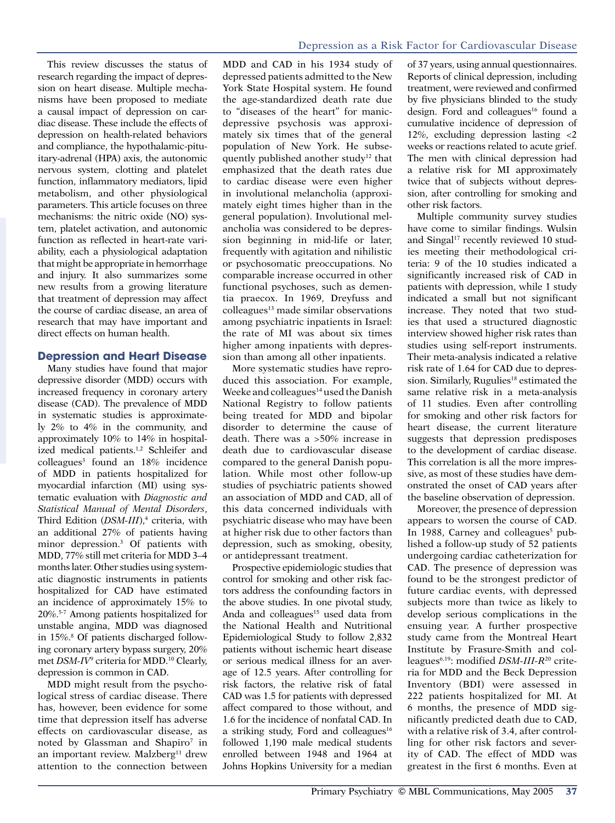This review discusses the status of research regarding the impact of depression on heart disease. Multiple mechanisms have been proposed to mediate a causal impact of depression on cardiac disease. These include the effects of depression on health-related behaviors and compliance, the hypothalamic-pituitary-adrenal (HPA) axis, the autonomic nervous system, clotting and platelet function, inflammatory mediators, lipid metabolism, and other physiological parameters. This article focuses on three mechanisms: the nitric oxide (NO) system, platelet activation, and autonomic function as reflected in heart-rate variability, each a physiological adaptation that might be appropriate in hemorrhage and injury. It also summarizes some new results from a growing literature that treatment of depression may affect the course of cardiac disease, an area of research that may have important and direct effects on human health.

## **Depression and Heart Disease**

Many studies have found that major depressive disorder (MDD) occurs with increased frequency in coronary artery disease (CAD). The prevalence of MDD in systematic studies is approximately 2% to 4% in the community, and approximately 10% to 14% in hospitalized medical patients.<sup>1,2</sup> Schleifer and colleagues3 found an 18% incidence of MDD in patients hospitalized for myocardial infarction (MI) using systematic evaluation with *Diagnostic and Statistical Manual of Mental Disorders*, Third Edition (*DSM-III*),<sup>4</sup> criteria, with an additional 27% of patients having minor depression.3 Of patients with MDD, 77% still met criteria for MDD 3–4 months later. Other studies using systematic diagnostic instruments in patients hospitalized for CAD have estimated an incidence of approximately 15% to 20%.5-7 Among patients hospitalized for unstable angina, MDD was diagnosed in 15%.8 Of patients discharged following coronary artery bypass surgery, 20% met *DSM-IV*<sup>9</sup> criteria for MDD.10 Clearly, depression is common in CAD.

MDD might result from the psychological stress of cardiac disease. There has, however, been evidence for some time that depression itself has adverse effects on cardiovascular disease, as noted by Glassman and Shapiro<sup>7</sup> in an important review. Malzberg<sup>11</sup> drew attention to the connection between

MDD and CAD in his 1934 study of depressed patients admitted to the New York State Hospital system. He found the age-standardized death rate due to "diseases of the heart" for manicdepressive psychosis was approximately six times that of the general population of New York. He subsequently published another study<sup>12</sup> that emphasized that the death rates due to cardiac disease were even higher in involutional melancholia (approximately eight times higher than in the general population). Involutional melancholia was considered to be depression beginning in mid-life or later, frequently with agitation and nihilistic or psychosomatic preoccupations. No comparable increase occurred in other functional psychoses, such as dementia praecox. In 1969, Dreyfuss and  $\text{colle}$ agues<sup>13</sup> made similar observations among psychiatric inpatients in Israel: the rate of MI was about six times higher among inpatients with depression than among all other inpatients.

More systematic studies have reproduced this association. For example, Weeke and colleagues<sup>14</sup> used the Danish National Registry to follow patients being treated for MDD and bipolar disorder to determine the cause of death. There was a >50% increase in death due to cardiovascular disease compared to the general Danish population. While most other follow-up studies of psychiatric patients showed an association of MDD and CAD, all of this data concerned individuals with psychiatric disease who may have been at higher risk due to other factors than depression, such as smoking, obesity, or antidepressant treatment.

Prospective epidemiologic studies that control for smoking and other risk factors address the confounding factors in the above studies. In one pivotal study, Anda and colleagues<sup>15</sup> used data from the National Health and Nutritional Epidemiological Study to follow 2,832 patients without ischemic heart disease or serious medical illness for an average of 12.5 years. After controlling for risk factors, the relative risk of fatal CAD was 1.5 for patients with depressed affect compared to those without, and 1.6 for the incidence of nonfatal CAD. In a striking study, Ford and colleagues<sup>16</sup> followed 1,190 male medical students enrolled between 1948 and 1964 at Johns Hopkins University for a median

of 37 years, using annual questionnaires. Reports of clinical depression, including treatment, were reviewed and confirmed by five physicians blinded to the study design. Ford and colleagues<sup>16</sup> found a cumulative incidence of depression of 12%, excluding depression lasting <2 weeks or reactions related to acute grief. The men with clinical depression had a relative risk for MI approximately twice that of subjects without depression, after controlling for smoking and other risk factors.

Multiple community survey studies have come to similar findings. Wulsin and Singal<sup>17</sup> recently reviewed 10 studies meeting their methodological criteria: 9 of the 10 studies indicated a significantly increased risk of CAD in patients with depression, while 1 study indicated a small but not significant increase. They noted that two studies that used a structured diagnostic interview showed higher risk rates than studies using self-report instruments. Their meta-analysis indicated a relative risk rate of 1.64 for CAD due to depression. Similarly, Rugulies<sup>18</sup> estimated the same relative risk in a meta-analysis of 11 studies. Even after controlling for smoking and other risk factors for heart disease, the current literature suggests that depression predisposes to the development of cardiac disease. This correlation is all the more impressive, as most of these studies have demonstrated the onset of CAD years after the baseline observation of depression.

Moreover, the presence of depression appears to worsen the course of CAD. In 1988, Carney and colleagues<sup>5</sup> published a follow-up study of 52 patients undergoing cardiac catheterization for CAD. The presence of depression was found to be the strongest predictor of future cardiac events, with depressed subjects more than twice as likely to develop serious complications in the ensuing year. A further prospective study came from the Montreal Heart Institute by Frasure-Smith and colleagues6,19: modified *DSM-III-R*20 criteria for MDD and the Beck Depression Inventory (BDI) were assessed in 222 patients hospitalized for MI. At 6 months, the presence of MDD significantly predicted death due to CAD, with a relative risk of 3.4, after controlling for other risk factors and severity of CAD. The effect of MDD was greatest in the first 6 months. Even at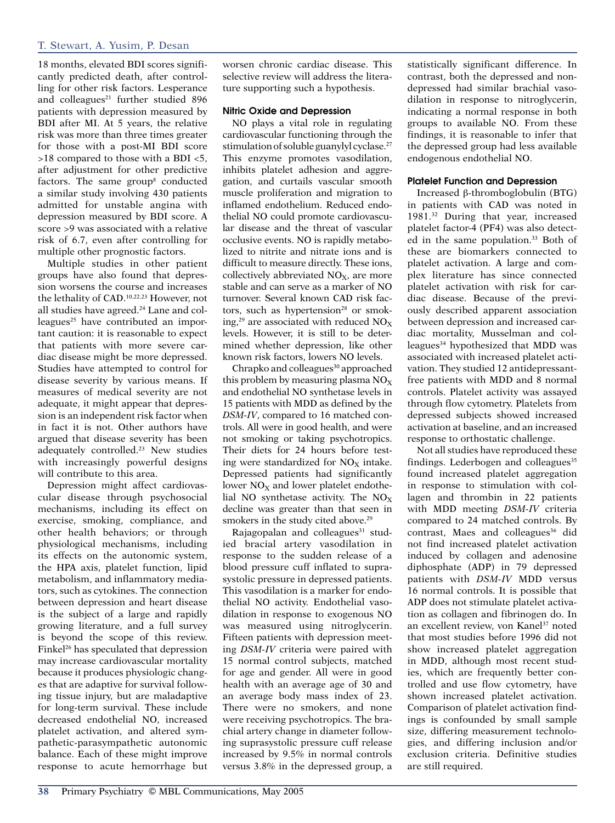# T. Stewart, A. Yusim, P. Desan

18 months, elevated BDI scores significantly predicted death, after controlling for other risk factors. Lesperance and colleagues<sup>21</sup> further studied 896 patients with depression measured by BDI after MI. At 5 years, the relative risk was more than three times greater for those with a post-MI BDI score >18 compared to those with a BDI <5, after adjustment for other predictive factors. The same group<sup>8</sup> conducted a similar study involving 430 patients admitted for unstable angina with depression measured by BDI score. A score >9 was associated with a relative risk of 6.7, even after controlling for multiple other prognostic factors.

Multiple studies in other patient groups have also found that depression worsens the course and increases the lethality of CAD.10,22,23 However, not all studies have agreed.<sup>24</sup> Lane and colleagues<sup>25</sup> have contributed an important caution: it is reasonable to expect that patients with more severe cardiac disease might be more depressed. Studies have attempted to control for disease severity by various means. If measures of medical severity are not adequate, it might appear that depression is an independent risk factor when in fact it is not. Other authors have argued that disease severity has been adequately controlled.23 New studies with increasingly powerful designs will contribute to this area.

Depression might affect cardiovascular disease through psychosocial mechanisms, including its effect on exercise, smoking, compliance, and other health behaviors; or through physiological mechanisms, including its effects on the autonomic system, the HPA axis, platelet function, lipid metabolism, and inflammatory mediators, such as cytokines. The connection between depression and heart disease is the subject of a large and rapidly growing literature, and a full survey is beyond the scope of this review. Finkel<sup>26</sup> has speculated that depression may increase cardiovascular mortality because it produces physiologic changes that are adaptive for survival following tissue injury, but are maladaptive for long-term survival. These include decreased endothelial NO, increased platelet activation, and altered sympathetic-parasympathetic autonomic balance. Each of these might improve response to acute hemorrhage but

worsen chronic cardiac disease. This selective review will address the literature supporting such a hypothesis.

#### Nitric Oxide and Depression

NO plays a vital role in regulating cardiovascular functioning through the stimulation of soluble guanylyl cyclase.27 This enzyme promotes vasodilation, inhibits platelet adhesion and aggregation, and curtails vascular smooth muscle proliferation and migration to inflamed endothelium. Reduced endothelial NO could promote cardiovascular disease and the threat of vascular occlusive events. NO is rapidly metabolized to nitrite and nitrate ions and is difficult to measure directly. These ions, collectively abbreviated  $NO<sub>x</sub>$ , are more stable and can serve as a marker of NO turnover. Several known CAD risk factors, such as hypertension $28$  or smoking,<sup>29</sup> are associated with reduced  $NO<sub>X</sub>$ levels. However, it is still to be determined whether depression, like other known risk factors, lowers NO levels.

Chrapko and colleagues<sup>30</sup> approached this problem by measuring plasma  $NO<sub>x</sub>$ and endothelial NO synthetase levels in 15 patients with MDD as defined by the *DSM-IV*, compared to 16 matched controls. All were in good health, and were not smoking or taking psychotropics. Their diets for 24 hours before testing were standardized for  $NO<sub>x</sub>$  intake. Depressed patients had significantly lower  $NO<sub>x</sub>$  and lower platelet endothelial NO synthetase activity. The  $NO<sub>x</sub>$ decline was greater than that seen in smokers in the study cited above.<sup>29</sup>

Rajagopalan and colleagues<sup>31</sup> studied bracial artery vasodilation in response to the sudden release of a blood pressure cuff inflated to suprasystolic pressure in depressed patients. This vasodilation is a marker for endothelial NO activity. Endothelial vasodilation in response to exogenous NO was measured using nitroglycerin. Fifteen patients with depression meeting *DSM-IV* criteria were paired with 15 normal control subjects, matched for age and gender. All were in good health with an average age of 30 and an average body mass index of 23. There were no smokers, and none were receiving psychotropics. The brachial artery change in diameter following suprasystolic pressure cuff release increased by 9.5% in normal controls versus 3.8% in the depressed group, a statistically significant difference. In contrast, both the depressed and nondepressed had similar brachial vasodilation in response to nitroglycerin, indicating a normal response in both groups to available NO. From these findings, it is reasonable to infer that the depressed group had less available endogenous endothelial NO.

#### Platelet Function and Depression

Increased β-thromboglobulin (BTG) in patients with CAD was noted in 1981.32 During that year, increased platelet factor-4 (PF4) was also detected in the same population.<sup>33</sup> Both of these are biomarkers connected to platelet activation. A large and complex literature has since connected platelet activation with risk for cardiac disease. Because of the previously described apparent association between depression and increased cardiac mortality, Musselman and colleagues<sup>34</sup> hypothesized that MDD was associated with increased platelet activation. They studied 12 antidepressantfree patients with MDD and 8 normal controls. Platelet activity was assayed through flow cytometry. Platelets from depressed subjects showed increased activation at baseline, and an increased response to orthostatic challenge.

Not all studies have reproduced these findings. Lederbogen and colleagues<sup>35</sup> found increased platelet aggregation in response to stimulation with collagen and thrombin in 22 patients with MDD meeting *DSM-IV* criteria compared to 24 matched controls. By contrast, Maes and colleagues<sup>36</sup> did not find increased platelet activation induced by collagen and adenosine diphosphate (ADP) in 79 depressed patients with *DSM-IV* MDD versus 16 normal controls. It is possible that ADP does not stimulate platelet activation as collagen and fibrinogen do. In an excellent review, von Kanel<sup>37</sup> noted that most studies before 1996 did not show increased platelet aggregation in MDD, although most recent studies, which are frequently better controlled and use flow cytometry, have shown increased platelet activation. Comparison of platelet activation findings is confounded by small sample size, differing measurement technologies, and differing inclusion and/or exclusion criteria. Definitive studies are still required.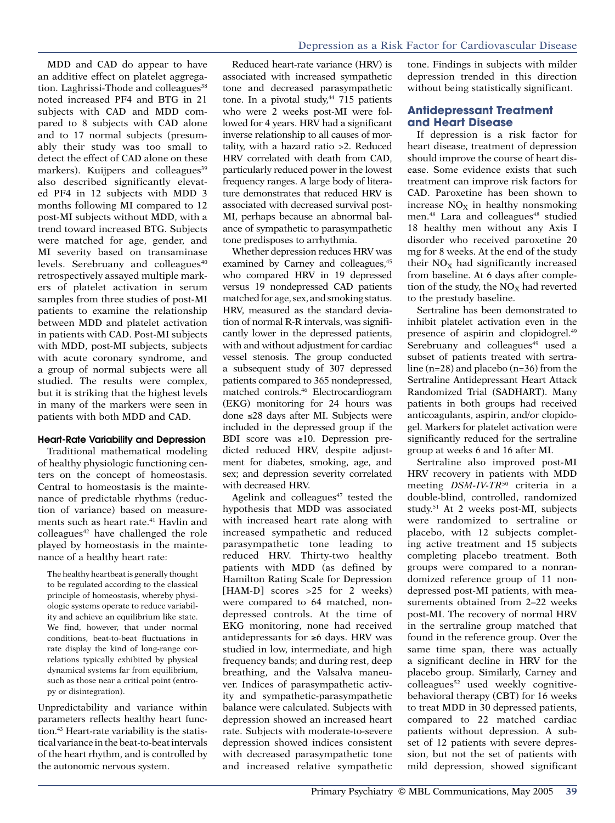MDD and CAD do appear to have an additive effect on platelet aggregation. Laghrissi-Thode and colleagues<sup>38</sup> noted increased PF4 and BTG in 21 subjects with CAD and MDD compared to 8 subjects with CAD alone and to 17 normal subjects (presumably their study was too small to detect the effect of CAD alone on these markers). Kuijpers and colleagues<sup>39</sup> also described significantly elevated PF4 in 12 subjects with MDD 3 months following MI compared to 12 post-MI subjects without MDD, with a trend toward increased BTG. Subjects were matched for age, gender, and MI severity based on transaminase levels. Serebruany and colleagues<sup>40</sup> retrospectively assayed multiple markers of platelet activation in serum samples from three studies of post-MI patients to examine the relationship between MDD and platelet activation in patients with CAD. Post-MI subjects with MDD, post-MI subjects, subjects with acute coronary syndrome, and a group of normal subjects were all studied. The results were complex, but it is striking that the highest levels in many of the markers were seen in patients with both MDD and CAD.

#### Heart-Rate Variability and Depression

Traditional mathematical modeling of healthy physiologic functioning centers on the concept of homeostasis. Central to homeostasis is the maintenance of predictable rhythms (reduction of variance) based on measurements such as heart rate.<sup>41</sup> Havlin and colleagues<sup>42</sup> have challenged the role played by homeostasis in the maintenance of a healthy heart rate:

The healthy heartbeat is generally thought to be regulated according to the classical principle of homeostasis, whereby physiologic systems operate to reduce variability and achieve an equilibrium like state. We find, however, that under normal conditions, beat-to-beat fluctuations in rate display the kind of long-range correlations typically exhibited by physical dynamical systems far from equilibrium, such as those near a critical point (entropy or disintegration).

Unpredictability and variance within parameters reflects healthy heart function.43 Heart-rate variability is the statistical variance in the beat-to-beat intervals of the heart rhythm, and is controlled by the autonomic nervous system.

Reduced heart-rate variance (HRV) is associated with increased sympathetic tone and decreased parasympathetic tone. In a pivotal study,<sup>44</sup> 715 patients who were 2 weeks post-MI were followed for 4 years. HRV had a significant inverse relationship to all causes of mortality, with a hazard ratio >2. Reduced HRV correlated with death from CAD, particularly reduced power in the lowest frequency ranges. A large body of literature demonstrates that reduced HRV is associated with decreased survival post-MI, perhaps because an abnormal balance of sympathetic to parasympathetic tone predisposes to arrhythmia.

Whether depression reduces HRV was examined by Carney and colleagues,<sup>45</sup> who compared HRV in 19 depressed versus 19 nondepressed CAD patients matched for age, sex, and smoking status. HRV, measured as the standard deviation of normal R-R intervals, was significantly lower in the depressed patients, with and without adjustment for cardiac vessel stenosis. The group conducted a subsequent study of 307 depressed patients compared to 365 nondepressed, matched controls.46 Electrocardiogram (EKG) monitoring for 24 hours was done ≤28 days after MI. Subjects were included in the depressed group if the BDI score was ≥10. Depression predicted reduced HRV, despite adjustment for diabetes, smoking, age, and sex; and depression severity correlated with decreased HRV.

Agelink and colleagues $47$  tested the hypothesis that MDD was associated with increased heart rate along with increased sympathetic and reduced parasympathetic tone leading to reduced HRV. Thirty-two healthy patients with MDD (as defined by Hamilton Rating Scale for Depression [HAM-D] scores >25 for 2 weeks) were compared to 64 matched, nondepressed controls. At the time of EKG monitoring, none had received antidepressants for ≥6 days. HRV was studied in low, intermediate, and high frequency bands; and during rest, deep breathing, and the Valsalva maneuver. Indices of parasympathetic activity and sympathetic-parasympathetic balance were calculated. Subjects with depression showed an increased heart rate. Subjects with moderate-to-severe depression showed indices consistent with decreased parasympathetic tone and increased relative sympathetic tone. Findings in subjects with milder depression trended in this direction without being statistically significant.

### **Antidepressant Treatment and Heart Disease**

If depression is a risk factor for heart disease, treatment of depression should improve the course of heart disease. Some evidence exists that such treatment can improve risk factors for CAD. Paroxetine has been shown to increase  $NO<sub>X</sub>$  in healthy nonsmoking men.<sup>48</sup> Lara and colleagues<sup>48</sup> studied 18 healthy men without any Axis I disorder who received paroxetine 20 mg for 8 weeks. At the end of the study their  $NO<sub>X</sub>$  had significantly increased from baseline. At 6 days after completion of the study, the NO<sub>X</sub> had reverted to the prestudy baseline.

Sertraline has been demonstrated to inhibit platelet activation even in the presence of aspirin and clopidogrel.49 Serebruany and colleagues<sup>49</sup> used a subset of patients treated with sertraline (n=28) and placebo (n=36) from the Sertraline Antidepressant Heart Attack Randomized Trial (SADHART). Many patients in both groups had received anticoagulants, aspirin, and/or clopidogel. Markers for platelet activation were significantly reduced for the sertraline group at weeks 6 and 16 after MI.

Sertraline also improved post-MI HRV recovery in patients with MDD meeting *DSM-IV-TR*50 criteria in a double-blind, controlled, randomized study.51 At 2 weeks post-MI, subjects were randomized to sertraline or placebo, with 12 subjects completing active treatment and 15 subjects completing placebo treatment. Both groups were compared to a nonrandomized reference group of 11 nondepressed post-MI patients, with measurements obtained from 2–22 weeks post-MI. The recovery of normal HRV in the sertraline group matched that found in the reference group. Over the same time span, there was actually a significant decline in HRV for the placebo group. Similarly, Carney and colleagues<sup>52</sup> used weekly cognitivebehavioral therapy (CBT) for 16 weeks to treat MDD in 30 depressed patients, compared to 22 matched cardiac patients without depression. A subset of 12 patients with severe depression, but not the set of patients with mild depression, showed significant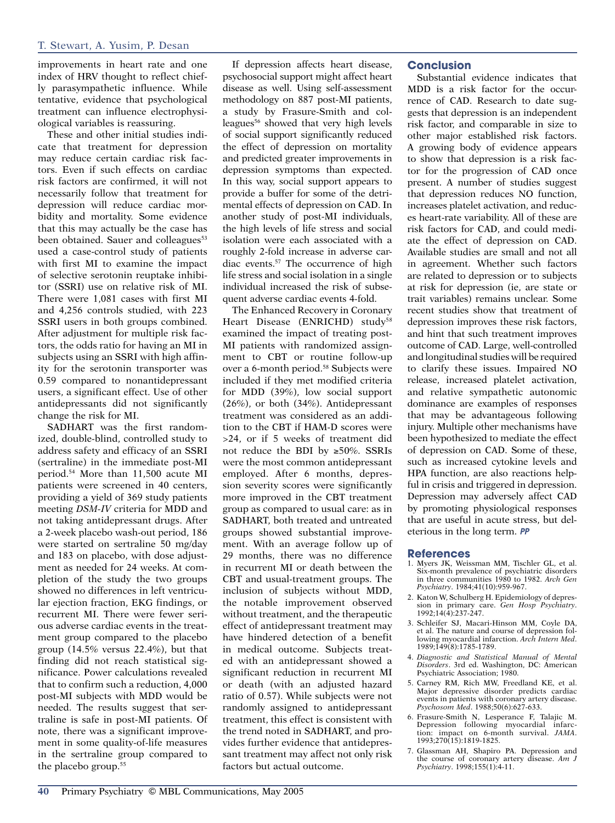improvements in heart rate and one index of HRV thought to reflect chiefly parasympathetic influence. While tentative, evidence that psychological treatment can influence electrophysiological variables is reassuring.

These and other initial studies indicate that treatment for depression may reduce certain cardiac risk factors. Even if such effects on cardiac risk factors are confirmed, it will not necessarily follow that treatment for depression will reduce cardiac morbidity and mortality. Some evidence that this may actually be the case has been obtained. Sauer and colleagues<sup>53</sup> used a case-control study of patients with first MI to examine the impact of selective serotonin reuptake inhibitor (SSRI) use on relative risk of MI. There were 1,081 cases with first MI and 4,256 controls studied, with 223 SSRI users in both groups combined. After adjustment for multiple risk factors, the odds ratio for having an MI in subjects using an SSRI with high affinity for the serotonin transporter was 0.59 compared to nonantidepressant users, a significant effect. Use of other antidepressants did not significantly change the risk for MI.

SADHART was the first randomized, double-blind, controlled study to address safety and efficacy of an SSRI (sertraline) in the immediate post-MI period.54 More than 11,500 acute MI patients were screened in 40 centers, providing a yield of 369 study patients meeting *DSM-IV* criteria for MDD and not taking antidepressant drugs. After a 2-week placebo wash-out period, 186 were started on sertraline 50 mg/day and 183 on placebo, with dose adjustment as needed for 24 weeks. At completion of the study the two groups showed no differences in left ventricular ejection fraction, EKG findings, or recurrent MI. There were fewer serious adverse cardiac events in the treatment group compared to the placebo group  $(14.5\%$  versus 22.4%), but that finding did not reach statistical significance. Power calculations revealed that to confirm such a reduction, 4,000 post-MI subjects with MDD would be needed. The results suggest that sertraline is safe in post-MI patients. Of note, there was a significant improvement in some quality-of-life measures in the sertraline group compared to the placebo group.55

If depression affects heart disease, psychosocial support might affect heart disease as well. Using self-assessment methodology on 887 post-MI patients, a study by Frasure-Smith and colleagues<sup>56</sup> showed that very high levels of social support significantly reduced the effect of depression on mortality and predicted greater improvements in depression symptoms than expected. In this way, social support appears to provide a buffer for some of the detrimental effects of depression on CAD. In another study of post-MI individuals, the high levels of life stress and social isolation were each associated with a roughly 2-fold increase in adverse cardiac events.57 The occurrence of high life stress and social isolation in a single individual increased the risk of subsequent adverse cardiac events 4-fold.

The Enhanced Recovery in Coronary Heart Disease (ENRICHD) study<sup>58</sup> examined the impact of treating post-MI patients with randomized assignment to CBT or routine follow-up over a 6-month period.<sup>58</sup> Subjects were included if they met modified criteria for MDD (39%), low social support (26%), or both (34%). Antidepressant treatment was considered as an addition to the CBT if HAM-D scores were >24, or if 5 weeks of treatment did not reduce the BDI by ≥50%. SSRIs were the most common antidepressant employed. After 6 months, depression severity scores were significantly more improved in the CBT treatment group as compared to usual care: as in SADHART, both treated and untreated groups showed substantial improvement. With an average follow up of 29 months, there was no difference in recurrent MI or death between the CBT and usual-treatment groups. The inclusion of subjects without MDD, the notable improvement observed without treatment, and the therapeutic effect of antidepressant treatment may have hindered detection of a benefit in medical outcome. Subjects treated with an antidepressant showed a significant reduction in recurrent MI or death (with an adjusted hazard ratio of 0.57). While subjects were not randomly assigned to antidepressant treatment, this effect is consistent with the trend noted in SADHART, and provides further evidence that antidepressant treatment may affect not only risk factors but actual outcome.

# **Conclusion**

Substantial evidence indicates that MDD is a risk factor for the occurrence of CAD. Research to date suggests that depression is an independent risk factor, and comparable in size to other major established risk factors. A growing body of evidence appears to show that depression is a risk factor for the progression of CAD once present. A number of studies suggest that depression reduces NO function, increases platelet activation, and reduces heart-rate variability. All of these are risk factors for CAD, and could mediate the effect of depression on CAD. Available studies are small and not all in agreement. Whether such factors are related to depression or to subjects at risk for depression (ie, are state or trait variables) remains unclear. Some recent studies show that treatment of depression improves these risk factors, and hint that such treatment improves outcome of CAD. Large, well-controlled and longitudinal studies will be required to clarify these issues. Impaired NO release, increased platelet activation, and relative sympathetic autonomic dominance are examples of responses that may be advantageous following injury. Multiple other mechanisms have been hypothesized to mediate the effect of depression on CAD. Some of these, such as increased cytokine levels and HPA function, are also reactions helpful in crisis and triggered in depression. Depression may adversely affect CAD by promoting physiological responses that are useful in acute stress, but deleterious in the long term. PP

#### **References**

- 1. Myers JK, Weissman MM, Tischler GL, et al. Six-month prevalence of psychiatric disorders in three communities 1980 to 1982. *Arch Gen Psychiatry*. 1984;41(10):959-967.
- 2. Katon W, Schulberg H. Epidemiology of depression in primary care. *Gen Hosp Psychiatry*. 1992;14(4):237-247.
- 3. Schleifer SJ, Macari-Hinson MM, Coyle DA, et al. The nature and course of depression following myocardial infarction. *Arch Intern Med*. 1989;149(8):1785-1789.
- 4. *Diagnostic and Statistical Manual of Mental Disorders*. 3rd ed. Washington, DC: American Psychiatric Association; 1980.
- 5. Carney RM, Rich MW, Freedland KE, et al. Major depressive disorder predicts cardiac events in patients with coronary artery disease. *Psychosom Med*. 1988;50(6):627-633.
- 6. Frasure-Smith N, Lesperance F, Talajic M. Depression following myocardial infarc-tion: impact on 6-month survival. *JAMA*. 1993;270(15):1819-1825.
- 7. Glassman AH, Shapiro PA. Depression and the course of coronary artery disease. *Am J Psychiatry*. 1998;155(1):4-11.